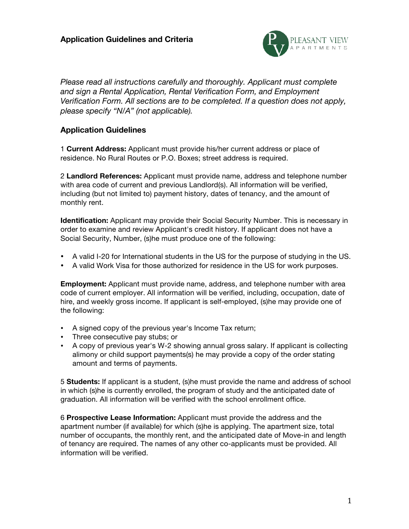

*Please read all instructions carefully and thoroughly. Applicant must complete and sign a Rental Application, Rental Verification Form, and Employment Verification Form. All sections are to be completed. If a question does not apply, please specify "N/A" (not applicable).* 

## **Application Guidelines**

1 **Current Address:** Applicant must provide his/her current address or place of residence. No Rural Routes or P.O. Boxes; street address is required.

2 **Landlord References:** Applicant must provide name, address and telephone number with area code of current and previous Landlord(s). All information will be verified, including (but not limited to) payment history, dates of tenancy, and the amount of monthly rent.

**Identification:** Applicant may provide their Social Security Number. This is necessary in order to examine and review Applicant's credit history. If applicant does not have a Social Security, Number, (s)he must produce one of the following:

- A valid I-20 for International students in the US for the purpose of studying in the US.
- A valid Work Visa for those authorized for residence in the US for work purposes.

**Employment:** Applicant must provide name, address, and telephone number with area code of current employer. All information will be verified, including, occupation, date of hire, and weekly gross income. If applicant is self-employed, (s)he may provide one of the following:

- A signed copy of the previous year's Income Tax return;
- Three consecutive pay stubs; or
- A copy of previous year's W-2 showing annual gross salary. If applicant is collecting alimony or child support payments(s) he may provide a copy of the order stating amount and terms of payments.

5 **Students:** If applicant is a student, (s)he must provide the name and address of school in which (s)he is currently enrolled, the program of study and the anticipated date of graduation. All information will be verified with the school enrollment office.

6 **Prospective Lease Information:** Applicant must provide the address and the apartment number (if available) for which (s)he is applying. The apartment size, total number of occupants, the monthly rent, and the anticipated date of Move-in and length of tenancy are required. The names of any other co-applicants must be provided. All information will be verified.